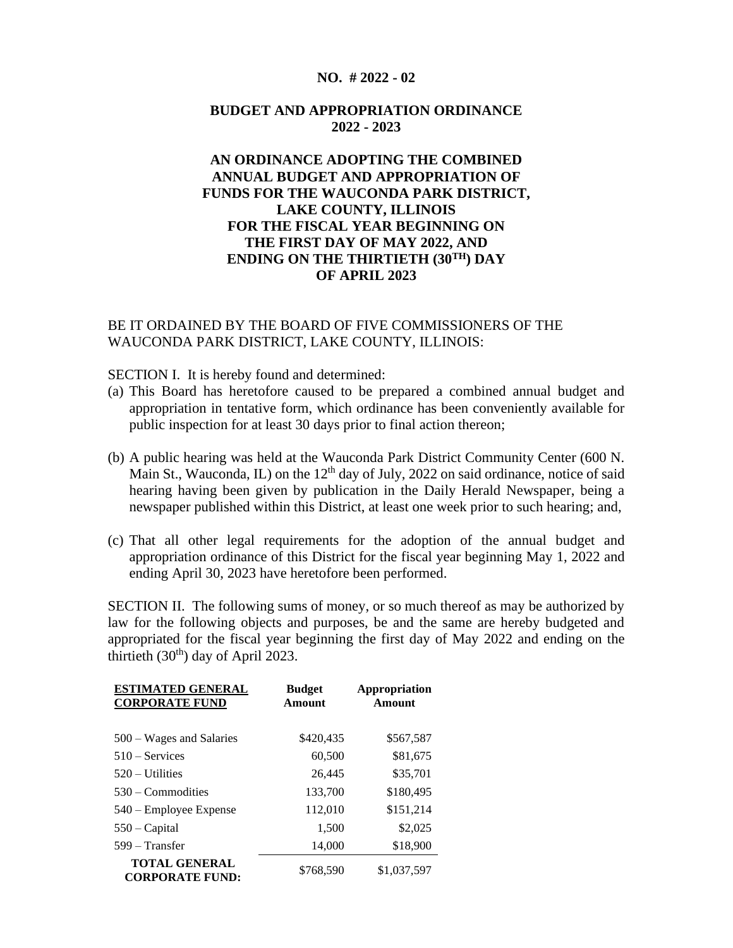#### **NO. # 2022 - 02**

## **BUDGET AND APPROPRIATION ORDINANCE 2022 - 2023**

# **AN ORDINANCE ADOPTING THE COMBINED ANNUAL BUDGET AND APPROPRIATION OF FUNDS FOR THE WAUCONDA PARK DISTRICT, LAKE COUNTY, ILLINOIS FOR THE FISCAL YEAR BEGINNING ON THE FIRST DAY OF MAY 2022, AND ENDING ON THE THIRTIETH (30TH) DAY OF APRIL 2023**

## BE IT ORDAINED BY THE BOARD OF FIVE COMMISSIONERS OF THE WAUCONDA PARK DISTRICT, LAKE COUNTY, ILLINOIS:

SECTION I. It is hereby found and determined:

- (a) This Board has heretofore caused to be prepared a combined annual budget and appropriation in tentative form, which ordinance has been conveniently available for public inspection for at least 30 days prior to final action thereon;
- (b) A public hearing was held at the Wauconda Park District Community Center (600 N. Main St., Wauconda, IL) on the 12<sup>th</sup> day of July, 2022 on said ordinance, notice of said hearing having been given by publication in the Daily Herald Newspaper, being a newspaper published within this District, at least one week prior to such hearing; and,
- (c) That all other legal requirements for the adoption of the annual budget and appropriation ordinance of this District for the fiscal year beginning May 1, 2022 and ending April 30, 2023 have heretofore been performed.

SECTION II. The following sums of money, or so much thereof as may be authorized by law for the following objects and purposes, be and the same are hereby budgeted and appropriated for the fiscal year beginning the first day of May 2022 and ending on the thirtieth  $(30<sup>th</sup>)$  day of April 2023.

| <b>ESTIMATED GENERAL</b><br><b>CORPORATE FUND</b> | <b>Budget</b><br>Amount | Appropriation<br>Amount |
|---------------------------------------------------|-------------------------|-------------------------|
| 500 – Wages and Salaries                          | \$420,435               | \$567,587               |
| $510 -$ Services                                  | 60,500                  | \$81,675                |
| $520 -$ Utilities                                 | 26,445                  | \$35,701                |
| $530 -$ Commodities                               | 133,700                 | \$180,495               |
| 540 – Employee Expense                            | 112,010                 | \$151,214               |
| $550 - Capital$                                   | 1,500                   | \$2,025                 |
| $599 - Transfer$                                  | 14,000                  | \$18,900                |
| <b>TOTAL GENERAL</b><br><b>CORPORATE FUND:</b>    | \$768,590               | \$1,037,597             |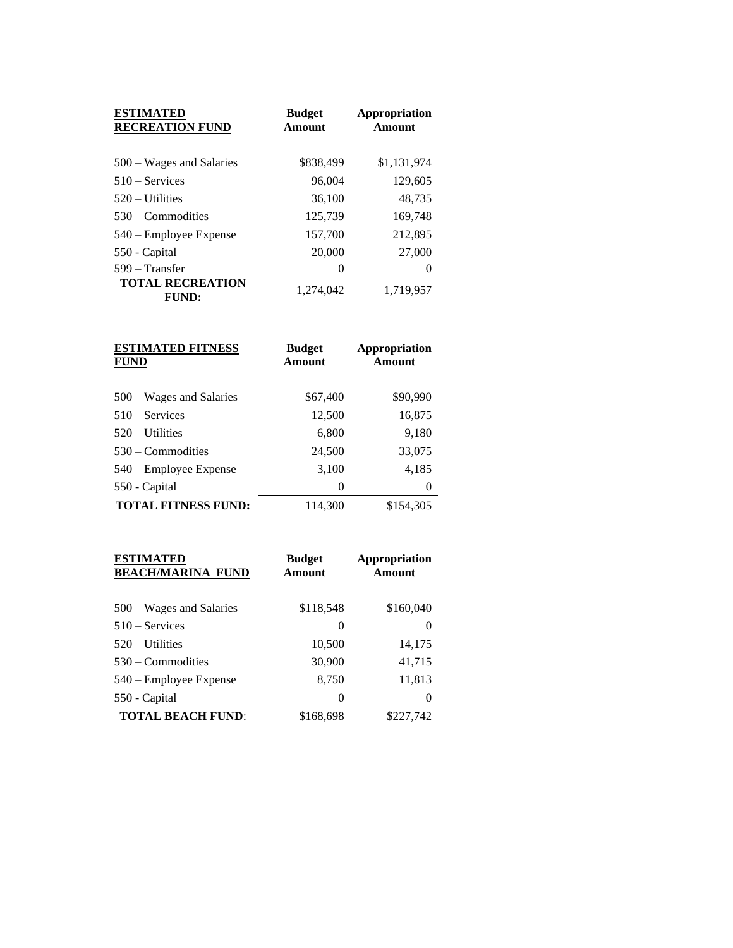| <b>ESTIMATED</b><br><b>RECREATION FUND</b> | <b>Budget</b><br>Amount | Appropriation<br>Amount |
|--------------------------------------------|-------------------------|-------------------------|
| $500 - Wages$ and Salaries                 | \$838,499               | \$1,131,974             |
| $510 -$ Services                           | 96,004                  | 129,605                 |
| $520 - U$ tilities                         | 36,100                  | 48,735                  |
| $530 -$ Commodities                        | 125,739                 | 169,748                 |
| 540 – Employee Expense                     | 157,700                 | 212,895                 |
| 550 - Capital                              | 20,000                  | 27,000                  |
| 599 – Transfer                             | $\theta$                | $\theta$                |
| <b>TOTAL RECREATION</b><br><b>FUND:</b>    | 1.274.042               | 1,719,957               |

| <b>ESTIMATED FITNESS</b><br><b>FUND</b> | <b>Budget</b><br>Amount | Appropriation<br>Amount |
|-----------------------------------------|-------------------------|-------------------------|
| $500 - Wages$ and Salaries              | \$67,400                | \$90,990                |
| $510 -$ Services                        | 12,500                  | 16,875                  |
| $520 -$ Utilities                       | 6,800                   | 9,180                   |
| $530 -$ Commodities                     | 24,500                  | 33,075                  |
| 540 – Employee Expense                  | 3,100                   | 4,185                   |
| 550 - Capital                           | 0                       | $\theta$                |
| <b>TOTAL FITNESS FUND:</b>              | 114,300                 | \$154,305               |

| <b>ESTIMATED</b><br><b>BEACH/MARINA FUND</b> | <b>Budget</b><br>Amount | <b>Appropriation</b><br>Amount |
|----------------------------------------------|-------------------------|--------------------------------|
| $500 - Wages$ and Salaries                   | \$118,548               | \$160,040                      |
| $510 -$ Services                             | 0                       | 0                              |
| $520 - U$ tilities                           | 10,500                  | 14,175                         |
| $530 -$ Commodities                          | 30,900                  | 41,715                         |
| 540 – Employee Expense                       | 8,750                   | 11,813                         |
| 550 - Capital                                | 0                       | 0                              |
| <b>TOTAL BEACH FUND:</b>                     | \$168,698               | \$227,742                      |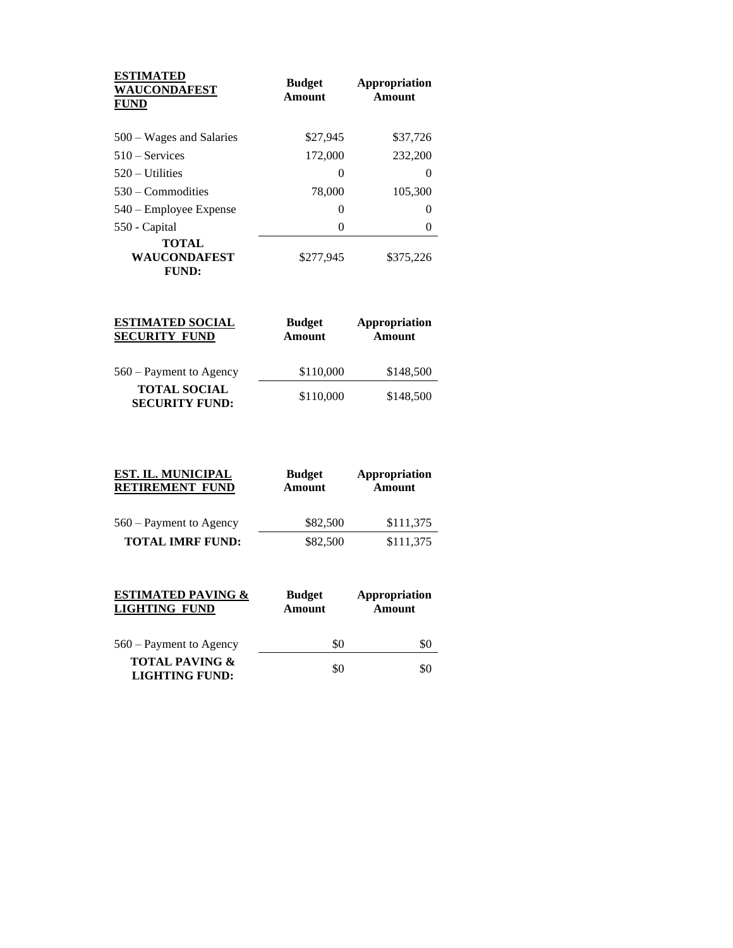| <b>ESTIMATED</b><br><b>WAUCONDAFEST</b><br><b>FUND</b> | <b>Budget</b><br>Amount | Appropriation<br>Amount |
|--------------------------------------------------------|-------------------------|-------------------------|
| 500 – Wages and Salaries                               | \$27,945                | \$37,726                |
| $510 -$ Services                                       | 172,000                 | 232,200                 |
| $520 -$ Utilities                                      | $\theta$                | $\mathbf{0}$            |
| $530 -$ Commodities                                    | 78,000                  | 105,300                 |
| 540 – Employee Expense                                 | 0                       |                         |
| 550 - Capital                                          | $\left( \right)$        |                         |
| <b>TOTAL</b><br>WAUCONDAFEST<br>FUND:                  | \$277,945               | \$375,226               |

| <b>ESTIMATED SOCIAL</b><br><b>SECURITY FUND</b> | <b>Budget</b><br>Amount | Appropriation<br><b>Amount</b> |
|-------------------------------------------------|-------------------------|--------------------------------|
| 560 – Payment to Agency                         | \$110,000               | \$148,500                      |
| <b>TOTAL SOCIAL</b><br><b>SECURITY FUND:</b>    | \$110,000               | \$148,500                      |

| <b>EST. IL. MUNICIPAL</b><br><b>RETIREMENT FUND</b> | <b>Budget</b><br><b>Amount</b> | Appropriation<br><b>Amount</b> |
|-----------------------------------------------------|--------------------------------|--------------------------------|
| 560 – Payment to Agency                             | \$82,500                       | \$111,375                      |
| <b>TOTAL IMRF FUND:</b>                             | \$82,500                       | \$111,375                      |

| <b>ESTIMATED PAVING &amp;</b><br><b>LIGHTING FUND</b> | <b>Budget</b><br><b>Amount</b> | Appropriation<br>Amount |
|-------------------------------------------------------|--------------------------------|-------------------------|
| $560 -$ Payment to Agency                             | \$0                            | \$0                     |
| <b>TOTAL PAVING &amp;</b><br><b>LIGHTING FUND:</b>    | \$0                            | \$0                     |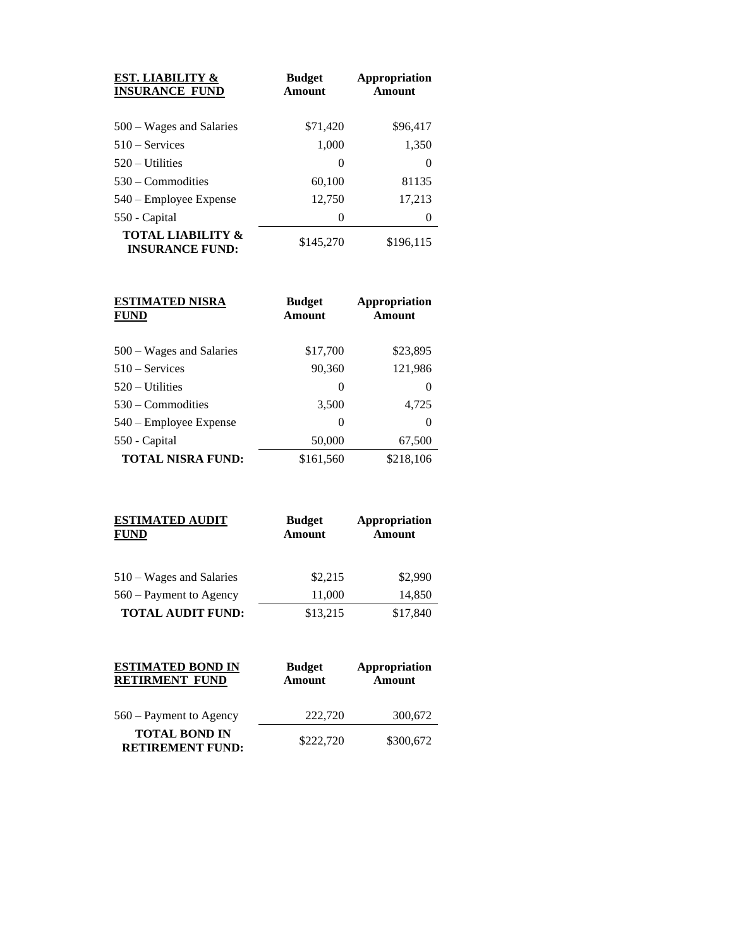| <b>EST. LIABILITY &amp;</b><br><b>INSURANCE FUND</b>   | <b>Budget</b><br>Amount | <b>Appropriation</b><br>Amount |
|--------------------------------------------------------|-------------------------|--------------------------------|
| 500 – Wages and Salaries                               | \$71,420                | \$96,417                       |
| $510 -$ Services                                       | 1,000                   | 1,350                          |
| $520 -$ Utilities                                      | 0                       | $\theta$                       |
| $530 -$ Commodities                                    | 60,100                  | 81135                          |
| 540 – Employee Expense                                 | 12,750                  | 17,213                         |
| 550 - Capital                                          | 0                       | 0                              |
| <b>TOTAL LIABILITY &amp;</b><br><b>INSURANCE FUND:</b> | \$145,270               | \$196,115                      |

| <b>ESTIMATED NISRA</b><br><b>FUND</b> | <b>Budget</b><br>Amount | <b>Appropriation</b><br>Amount |
|---------------------------------------|-------------------------|--------------------------------|
| 500 – Wages and Salaries              | \$17,700                | \$23,895                       |
| $510 -$ Services                      | 90,360                  | 121,986                        |
| $520 -$ Utilities                     | 0                       | $\theta$                       |
| $530 -$ Commodities                   | 3,500                   | 4,725                          |
| 540 – Employee Expense                | 0                       | 0                              |
| 550 - Capital                         | 50,000                  | 67,500                         |
| <b>TOTAL NISRA FUND:</b>              | \$161,560               | \$218,106                      |

| <b>ESTIMATED AUDIT</b><br><b>FUND</b> | <b>Budget</b><br><b>Amount</b> | Appropriation<br><b>Amount</b> |
|---------------------------------------|--------------------------------|--------------------------------|
| $510 - Wages$ and Salaries            | \$2,215                        | \$2,990                        |
| $560 -$ Payment to Agency             | 11,000                         | 14,850                         |
| <b>TOTAL AUDIT FUND:</b>              | \$13,215                       | \$17,840                       |

| <b>ESTIMATED BOND IN</b><br><b>RETIRMENT FUND</b> | <b>Budget</b><br>Amount | Appropriation<br>Amount |
|---------------------------------------------------|-------------------------|-------------------------|
| 560 – Payment to Agency                           | 222,720                 | 300,672                 |
| <b>TOTAL BOND IN</b><br><b>RETIREMENT FUND:</b>   | \$222,720               | \$300,672               |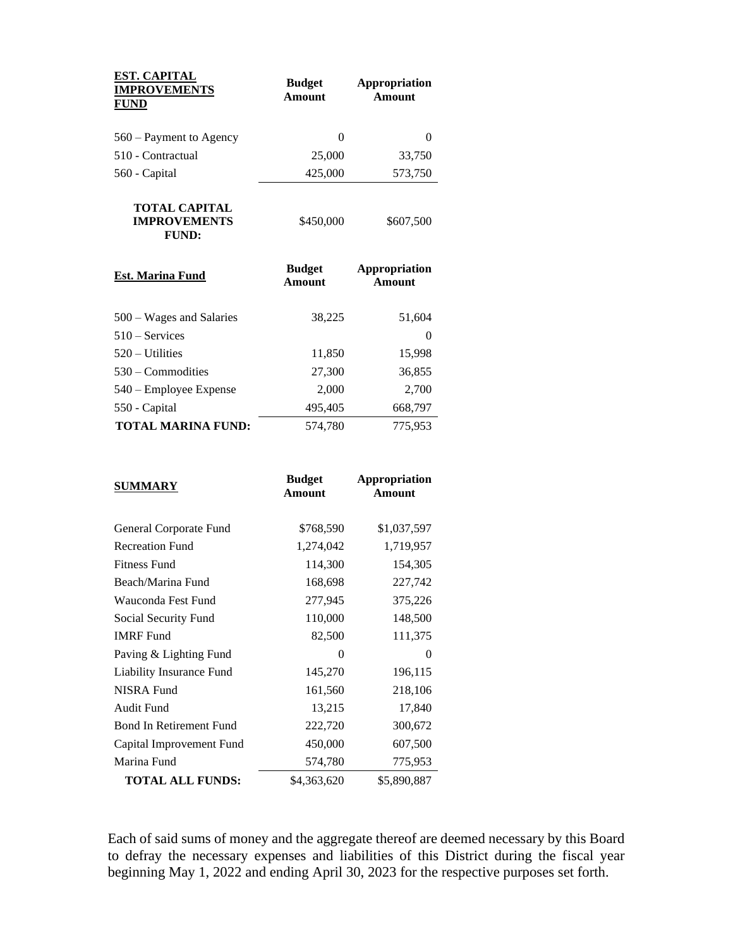| <b>EST. CAPITAL</b><br><b>IMPROVEMENTS</b><br><b>FUND</b> | <b>Budget</b><br>Amount | Appropriation<br>Amount |
|-----------------------------------------------------------|-------------------------|-------------------------|
| $560 -$ Payment to Agency                                 | $\theta$                | $\mathbf{\Omega}$       |
| 510 - Contractual                                         | 25,000                  | 33,750                  |
| 560 - Capital                                             | 425,000                 | 573,750                 |
| TOTAL CAPITAL<br><b>IMPROVEMENTS</b><br>FUND:             | \$450,000               | \$607,500               |

| <b>Est. Marina Fund</b>    | <b>Budget</b><br>Amount | Appropriation<br>Amount |
|----------------------------|-------------------------|-------------------------|
| $500 - Wages$ and Salaries | 38,225                  | 51,604                  |
| $510 -$ Services           |                         | 0                       |
| $520 - Utilities$          | 11,850                  | 15,998                  |
| $530 -$ Commodities        | 27,300                  | 36,855                  |
| 540 – Employee Expense     | 2,000                   | 2,700                   |
| 550 - Capital              | 495,405                 | 668,797                 |
| <b>TOTAL MARINA FUND:</b>  | 574,780                 | 775,953                 |

| <b>SUMMARY</b>                 | <b>Budget</b><br><b>Amount</b> | <b>Appropriation</b><br>Amount |
|--------------------------------|--------------------------------|--------------------------------|
| General Corporate Fund         | \$768,590                      | \$1,037,597                    |
| <b>Recreation Fund</b>         | 1,274,042                      | 1,719,957                      |
| <b>Fitness Fund</b>            | 114,300                        | 154,305                        |
| Beach/Marina Fund              | 168,698                        | 227,742                        |
| Wauconda Fest Fund             | 277,945                        | 375,226                        |
| Social Security Fund           | 110,000                        | 148,500                        |
| <b>IMRF</b> Fund               | 82,500                         | 111,375                        |
| Paving & Lighting Fund         | 0                              | 0                              |
| Liability Insurance Fund       | 145,270                        | 196,115                        |
| <b>NISRA Fund</b>              | 161,560                        | 218,106                        |
| Audit Fund                     | 13,215                         | 17,840                         |
| <b>Bond In Retirement Fund</b> | 222,720                        | 300,672                        |
| Capital Improvement Fund       | 450,000                        | 607,500                        |
| Marina Fund                    | 574,780                        | 775,953                        |
| <b>TOTAL ALL FUNDS:</b>        | \$4,363,620                    | \$5,890,887                    |

Each of said sums of money and the aggregate thereof are deemed necessary by this Board to defray the necessary expenses and liabilities of this District during the fiscal year beginning May 1, 2022 and ending April 30, 2023 for the respective purposes set forth.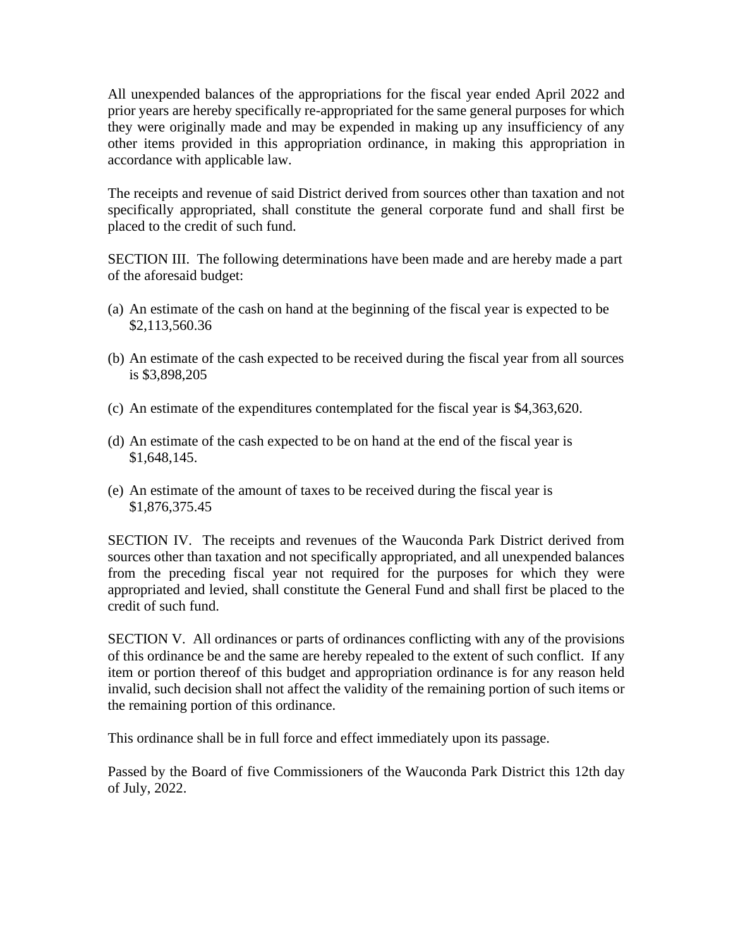All unexpended balances of the appropriations for the fiscal year ended April 2022 and prior years are hereby specifically re-appropriated for the same general purposes for which they were originally made and may be expended in making up any insufficiency of any other items provided in this appropriation ordinance, in making this appropriation in accordance with applicable law.

The receipts and revenue of said District derived from sources other than taxation and not specifically appropriated, shall constitute the general corporate fund and shall first be placed to the credit of such fund.

SECTION III. The following determinations have been made and are hereby made a part of the aforesaid budget:

- (a) An estimate of the cash on hand at the beginning of the fiscal year is expected to be \$2,113,560.36
- (b) An estimate of the cash expected to be received during the fiscal year from all sources is \$3,898,205
- (c) An estimate of the expenditures contemplated for the fiscal year is \$4,363,620.
- (d) An estimate of the cash expected to be on hand at the end of the fiscal year is \$1,648,145.
- (e) An estimate of the amount of taxes to be received during the fiscal year is \$1,876,375.45

SECTION IV. The receipts and revenues of the Wauconda Park District derived from sources other than taxation and not specifically appropriated, and all unexpended balances from the preceding fiscal year not required for the purposes for which they were appropriated and levied, shall constitute the General Fund and shall first be placed to the credit of such fund.

SECTION V. All ordinances or parts of ordinances conflicting with any of the provisions of this ordinance be and the same are hereby repealed to the extent of such conflict. If any item or portion thereof of this budget and appropriation ordinance is for any reason held invalid, such decision shall not affect the validity of the remaining portion of such items or the remaining portion of this ordinance.

This ordinance shall be in full force and effect immediately upon its passage.

Passed by the Board of five Commissioners of the Wauconda Park District this 12th day of July, 2022.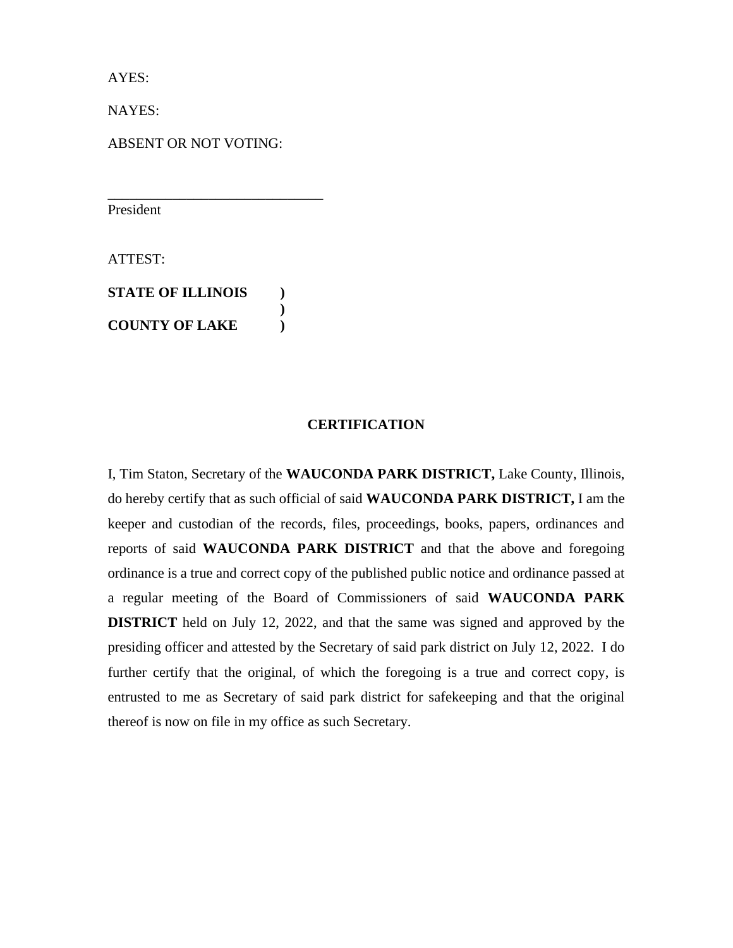AYES:

NAYES:

ABSENT OR NOT VOTING:

\_\_\_\_\_\_\_\_\_\_\_\_\_\_\_\_\_\_\_\_\_\_\_\_\_\_\_\_\_\_

President

ATTEST:

**STATE OF ILLINOIS ) ) COUNTY OF LAKE )**

## **CERTIFICATION**

I, Tim Staton, Secretary of the **WAUCONDA PARK DISTRICT,** Lake County, Illinois, do hereby certify that as such official of said **WAUCONDA PARK DISTRICT,** I am the keeper and custodian of the records, files, proceedings, books, papers, ordinances and reports of said **WAUCONDA PARK DISTRICT** and that the above and foregoing ordinance is a true and correct copy of the published public notice and ordinance passed at a regular meeting of the Board of Commissioners of said **WAUCONDA PARK DISTRICT** held on July 12, 2022, and that the same was signed and approved by the presiding officer and attested by the Secretary of said park district on July 12, 2022. I do further certify that the original, of which the foregoing is a true and correct copy, is entrusted to me as Secretary of said park district for safekeeping and that the original thereof is now on file in my office as such Secretary.